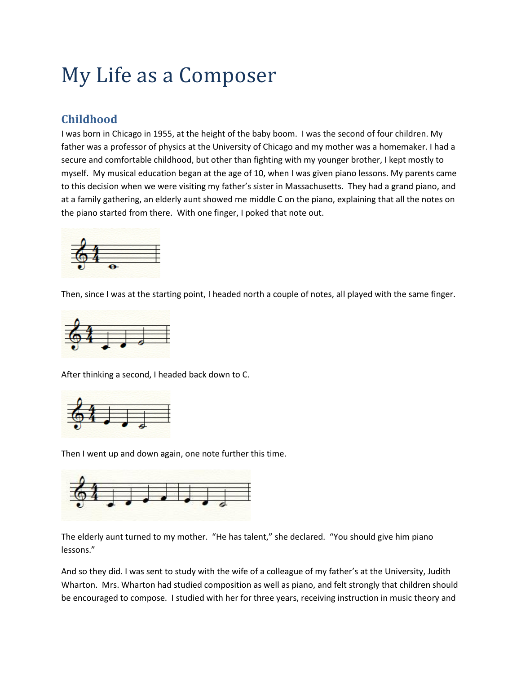# My Life as a Composer

## **Childhood**

I was born in Chicago in 1955, at the height of the baby boom. I was the second of four children. My father was a professor of physics at the University of Chicago and my mother was a homemaker. I had a secure and comfortable childhood, but other than fighting with my younger brother, I kept mostly to myself. My musical education began at the age of 10, when I was given piano lessons. My parents came to this decision when we were visiting my father's sister in Massachusetts. They had a grand piano, and at a family gathering, an elderly aunt showed me middle C on the piano, explaining that all the notes on the piano started from there. With one finger, I poked that note out.



Then, since I was at the starting point, I headed north a couple of notes, all played with the same finger.



After thinking a second, I headed back down to C.



Then I went up and down again, one note further this time.



The elderly aunt turned to my mother. "He has talent," she declared. "You should give him piano lessons."

And so they did. I was sent to study with the wife of a colleague of my father's at the University, Judith Wharton. Mrs. Wharton had studied composition as well as piano, and felt strongly that children should be encouraged to compose. I studied with her for three years, receiving instruction in music theory and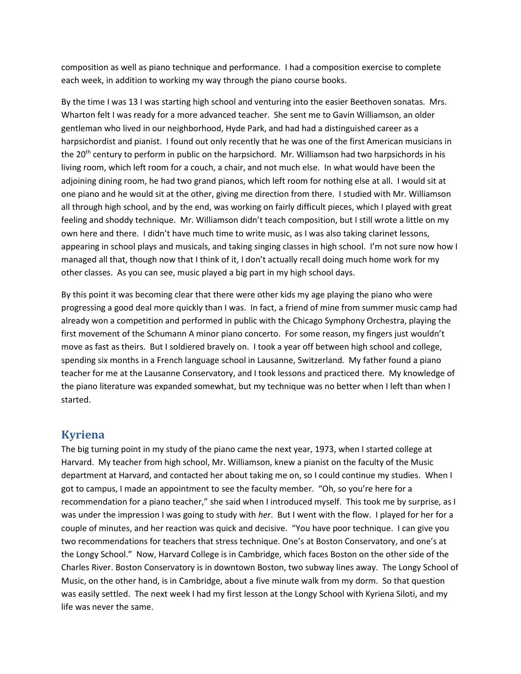composition as well as piano technique and performance. I had a composition exercise to complete each week, in addition to working my way through the piano course books.

By the time I was 13 I was starting high school and venturing into the easier Beethoven sonatas. Mrs. Wharton felt I was ready for a more advanced teacher. She sent me to Gavin Williamson, an older gentleman who lived in our neighborhood, Hyde Park, and had had a distinguished career as a harpsichordist and pianist. I found out only recently that he was one of the first American musicians in the 20<sup>th</sup> century to perform in public on the harpsichord. Mr. Williamson had two harpsichords in his living room, which left room for a couch, a chair, and not much else. In what would have been the adjoining dining room, he had two grand pianos, which left room for nothing else at all. I would sit at one piano and he would sit at the other, giving me direction from there. I studied with Mr. Williamson all through high school, and by the end, was working on fairly difficult pieces, which I played with great feeling and shoddy technique. Mr. Williamson didn't teach composition, but I still wrote a little on my own here and there. I didn't have much time to write music, as I was also taking clarinet lessons, appearing in school plays and musicals, and taking singing classes in high school. I'm not sure now how I managed all that, though now that I think of it, I don't actually recall doing much home work for my other classes. As you can see, music played a big part in my high school days.

By this point it was becoming clear that there were other kids my age playing the piano who were progressing a good deal more quickly than I was. In fact, a friend of mine from summer music camp had already won a competition and performed in public with the Chicago Symphony Orchestra, playing the first movement of the Schumann A minor piano concerto. For some reason, my fingers just wouldn't move as fast as theirs. But I soldiered bravely on. I took a year off between high school and college, spending six months in a French language school in Lausanne, Switzerland. My father found a piano teacher for me at the Lausanne Conservatory, and I took lessons and practiced there. My knowledge of the piano literature was expanded somewhat, but my technique was no better when I left than when I started.

#### **Kyriena**

The big turning point in my study of the piano came the next year, 1973, when I started college at Harvard. My teacher from high school, Mr. Williamson, knew a pianist on the faculty of the Music department at Harvard, and contacted her about taking me on, so I could continue my studies. When I got to campus, I made an appointment to see the faculty member. "Oh, so you're here for a recommendation for a piano teacher," she said when I introduced myself. This took me by surprise, as I was under the impression I was going to study with *her*. But I went with the flow. I played for her for a couple of minutes, and her reaction was quick and decisive. "You have poor technique. I can give you two recommendations for teachers that stress technique. One's at Boston Conservatory, and one's at the Longy School." Now, Harvard College is in Cambridge, which faces Boston on the other side of the Charles River. Boston Conservatory is in downtown Boston, two subway lines away. The Longy School of Music, on the other hand, is in Cambridge, about a five minute walk from my dorm. So that question was easily settled. The next week I had my first lesson at the Longy School with Kyriena Siloti, and my life was never the same.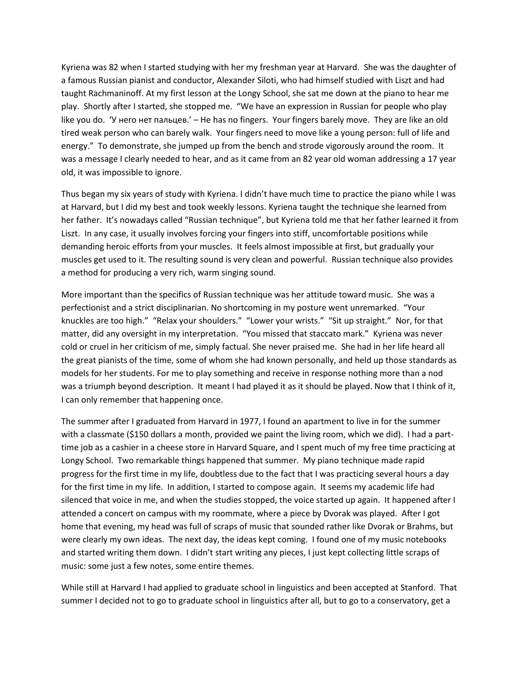Kyriena was 82 when I started studying with her my freshman year at Harvard. She was the daughter of a famous Russian pianist and conductor, Alexander Siloti, who had himself studied with Liszt and had taught Rachmaninoff. At my first lesson at the Longy School, she sat me down at the piano to hear me play. Shortly after I started, she stopped me. "We have an expression in Russian for people who play like you do. 'У него нет пальцев.' – He has no fingers. Your fingers barely move. They are like an old tired weak person who can barely walk. Your fingers need to move like a young person: full of life and energy." To demonstrate, she jumped up from the bench and strode vigorously around the room. It was a message I clearly needed to hear, and as it came from an 82 year old woman addressing a 17 year old, it was impossible to ignore.

Thus began my six years of study with Kyriena. I didn't have much time to practice the piano while I was at Harvard, but I did my best and took weekly lessons. Kyriena taught the technique she learned from her father. It's nowadays called "Russian technique", but Kyriena told me that her father learned it from Liszt. In any case, it usually involves forcing your fingers into stiff, uncomfortable positions while demanding heroic efforts from your muscles. It feels almost impossible at first, but gradually your muscles get used to it. The resulting sound is very clean and powerful. Russian technique also provides a method for producing a very rich, warm singing sound.

More important than the specifics of Russian technique was her attitude toward music. She was a perfectionist and a strict disciplinarian. No shortcoming in my posture went unremarked. "Your knuckles are too high." "Relax your shoulders." "Lower your wrists." "Sit up straight." Nor, for that matter, did any oversight in my interpretation. "You missed that staccato mark." Kyriena was never cold or cruel in her criticism of me, simply factual. She never praised me. She had in her life heard all the great pianists of the time, some of whom she had known personally, and held up those standards as models for her students. For me to play something and receive in response nothing more than a nod was a triumph beyond description. It meant I had played it as it should be played. Now that I think of it, I can only remember that happening once.

The summer after I graduated from Harvard in 1977, I found an apartment to live in for the summer with a classmate (\$150 dollars a month, provided we paint the living room, which we did). I had a parttime job as a cashier in a cheese store in Harvard Square, and I spent much of my free time practicing at Longy School. Two remarkable things happened that summer. My piano technique made rapid progress for the first time in my life, doubtless due to the fact that I was practicing several hours a day for the first time in my life. In addition, I started to compose again. It seems my academic life had silenced that voice in me, and when the studies stopped, the voice started up again. It happened after I attended a concert on campus with my roommate, where a piece by Dvorak was played. After I got home that evening, my head was full of scraps of music that sounded rather like Dvorak or Brahms, but were clearly my own ideas. The next day, the ideas kept coming. I found one of my music notebooks and started writing them down. I didn't start writing any pieces, I just kept collecting little scraps of music: some just a few notes, some entire themes.

While still at Harvard I had applied to graduate school in linguistics and been accepted at Stanford. That summer I decided not to go to graduate school in linguistics after all, but to go to a conservatory, get a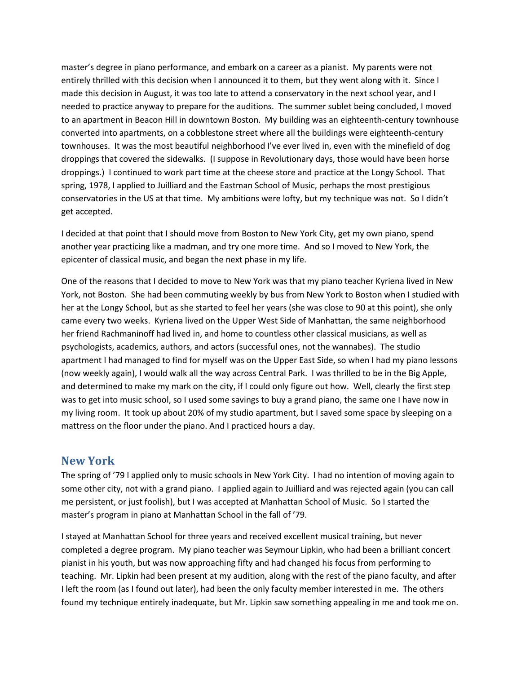master's degree in piano performance, and embark on a career as a pianist. My parents were not entirely thrilled with this decision when I announced it to them, but they went along with it. Since I made this decision in August, it was too late to attend a conservatory in the next school year, and I needed to practice anyway to prepare for the auditions. The summer sublet being concluded, I moved to an apartment in Beacon Hill in downtown Boston. My building was an eighteenth-century townhouse converted into apartments, on a cobblestone street where all the buildings were eighteenth-century townhouses. It was the most beautiful neighborhood I've ever lived in, even with the minefield of dog droppings that covered the sidewalks. (I suppose in Revolutionary days, those would have been horse droppings.) I continued to work part time at the cheese store and practice at the Longy School. That spring, 1978, I applied to Juilliard and the Eastman School of Music, perhaps the most prestigious conservatories in the US at that time. My ambitions were lofty, but my technique was not. So I didn't get accepted.

I decided at that point that I should move from Boston to New York City, get my own piano, spend another year practicing like a madman, and try one more time. And so I moved to New York, the epicenter of classical music, and began the next phase in my life.

One of the reasons that I decided to move to New York was that my piano teacher Kyriena lived in New York, not Boston. She had been commuting weekly by bus from New York to Boston when I studied with her at the Longy School, but as she started to feel her years (she was close to 90 at this point), she only came every two weeks. Kyriena lived on the Upper West Side of Manhattan, the same neighborhood her friend Rachmaninoff had lived in, and home to countless other classical musicians, as well as psychologists, academics, authors, and actors (successful ones, not the wannabes). The studio apartment I had managed to find for myself was on the Upper East Side, so when I had my piano lessons (now weekly again), I would walk all the way across Central Park. I was thrilled to be in the Big Apple, and determined to make my mark on the city, if I could only figure out how. Well, clearly the first step was to get into music school, so I used some savings to buy a grand piano, the same one I have now in my living room. It took up about 20% of my studio apartment, but I saved some space by sleeping on a mattress on the floor under the piano. And I practiced hours a day.

#### **New York**

The spring of '79 I applied only to music schools in New York City. I had no intention of moving again to some other city, not with a grand piano. I applied again to Juilliard and was rejected again (you can call me persistent, or just foolish), but I was accepted at Manhattan School of Music. So I started the master's program in piano at Manhattan School in the fall of '79.

I stayed at Manhattan School for three years and received excellent musical training, but never completed a degree program. My piano teacher was Seymour Lipkin, who had been a brilliant concert pianist in his youth, but was now approaching fifty and had changed his focus from performing to teaching. Mr. Lipkin had been present at my audition, along with the rest of the piano faculty, and after I left the room (as I found out later), had been the only faculty member interested in me. The others found my technique entirely inadequate, but Mr. Lipkin saw something appealing in me and took me on.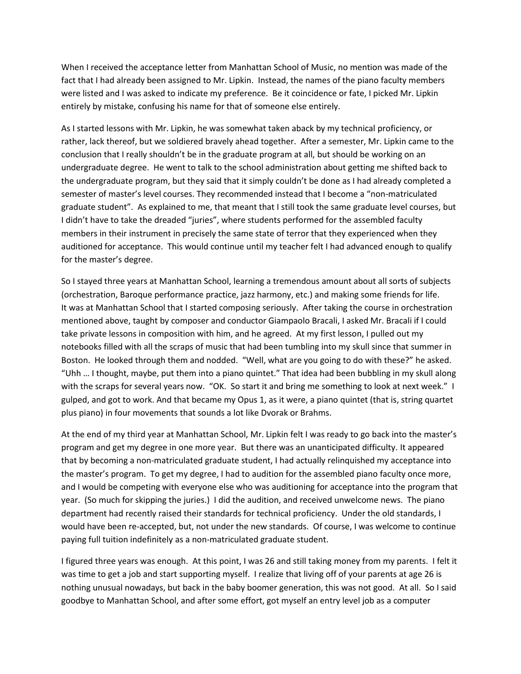When I received the acceptance letter from Manhattan School of Music, no mention was made of the fact that I had already been assigned to Mr. Lipkin. Instead, the names of the piano faculty members were listed and I was asked to indicate my preference. Be it coincidence or fate, I picked Mr. Lipkin entirely by mistake, confusing his name for that of someone else entirely.

As I started lessons with Mr. Lipkin, he was somewhat taken aback by my technical proficiency, or rather, lack thereof, but we soldiered bravely ahead together. After a semester, Mr. Lipkin came to the conclusion that I really shouldn't be in the graduate program at all, but should be working on an undergraduate degree. He went to talk to the school administration about getting me shifted back to the undergraduate program, but they said that it simply couldn't be done as I had already completed a semester of master's level courses. They recommended instead that I become a "non-matriculated graduate student". As explained to me, that meant that I still took the same graduate level courses, but I didn't have to take the dreaded "juries", where students performed for the assembled faculty members in their instrument in precisely the same state of terror that they experienced when they auditioned for acceptance. This would continue until my teacher felt I had advanced enough to qualify for the master's degree.

So I stayed three years at Manhattan School, learning a tremendous amount about all sorts of subjects (orchestration, Baroque performance practice, jazz harmony, etc.) and making some friends for life. It was at Manhattan School that I started composing seriously. After taking the course in orchestration mentioned above, taught by composer and conductor Giampaolo Bracali, I asked Mr. Bracali if I could take private lessons in composition with him, and he agreed. At my first lesson, I pulled out my notebooks filled with all the scraps of music that had been tumbling into my skull since that summer in Boston. He looked through them and nodded. "Well, what are you going to do with these?" he asked. "Uhh … I thought, maybe, put them into a piano quintet." That idea had been bubbling in my skull along with the scraps for several years now. "OK. So start it and bring me something to look at next week." I gulped, and got to work. And that became my Opus 1, as it were, a piano quintet (that is, string quartet plus piano) in four movements that sounds a lot like Dvorak or Brahms.

At the end of my third year at Manhattan School, Mr. Lipkin felt I was ready to go back into the master's program and get my degree in one more year. But there was an unanticipated difficulty. It appeared that by becoming a non-matriculated graduate student, I had actually relinquished my acceptance into the master's program. To get my degree, I had to audition for the assembled piano faculty once more, and I would be competing with everyone else who was auditioning for acceptance into the program that year. (So much for skipping the juries.) I did the audition, and received unwelcome news. The piano department had recently raised their standards for technical proficiency. Under the old standards, I would have been re-accepted, but, not under the new standards. Of course, I was welcome to continue paying full tuition indefinitely as a non-matriculated graduate student.

I figured three years was enough. At this point, I was 26 and still taking money from my parents. I felt it was time to get a job and start supporting myself. I realize that living off of your parents at age 26 is nothing unusual nowadays, but back in the baby boomer generation, this was not good. At all. So I said goodbye to Manhattan School, and after some effort, got myself an entry level job as a computer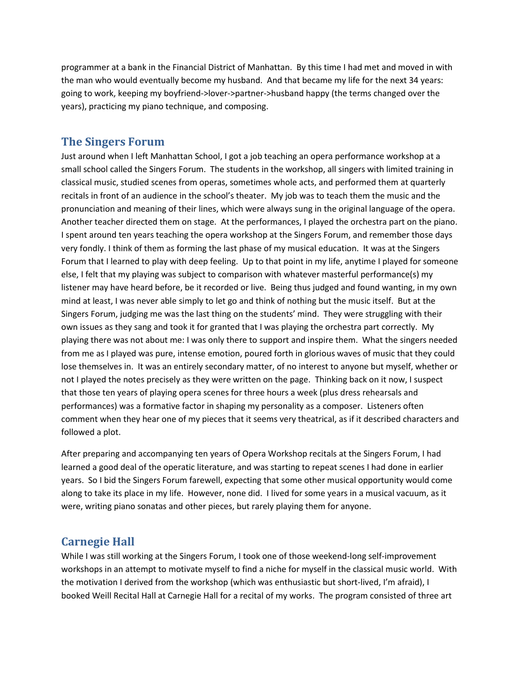programmer at a bank in the Financial District of Manhattan. By this time I had met and moved in with the man who would eventually become my husband. And that became my life for the next 34 years: going to work, keeping my boyfriend->lover->partner->husband happy (the terms changed over the years), practicing my piano technique, and composing.

#### **The Singers Forum**

Just around when I left Manhattan School, I got a job teaching an opera performance workshop at a small school called the Singers Forum. The students in the workshop, all singers with limited training in classical music, studied scenes from operas, sometimes whole acts, and performed them at quarterly recitals in front of an audience in the school's theater. My job was to teach them the music and the pronunciation and meaning of their lines, which were always sung in the original language of the opera. Another teacher directed them on stage. At the performances, I played the orchestra part on the piano. I spent around ten years teaching the opera workshop at the Singers Forum, and remember those days very fondly. I think of them as forming the last phase of my musical education. It was at the Singers Forum that I learned to play with deep feeling. Up to that point in my life, anytime I played for someone else, I felt that my playing was subject to comparison with whatever masterful performance(s) my listener may have heard before, be it recorded or live. Being thus judged and found wanting, in my own mind at least, I was never able simply to let go and think of nothing but the music itself. But at the Singers Forum, judging me was the last thing on the students' mind. They were struggling with their own issues as they sang and took it for granted that I was playing the orchestra part correctly. My playing there was not about me: I was only there to support and inspire them. What the singers needed from me as I played was pure, intense emotion, poured forth in glorious waves of music that they could lose themselves in. It was an entirely secondary matter, of no interest to anyone but myself, whether or not I played the notes precisely as they were written on the page. Thinking back on it now, I suspect that those ten years of playing opera scenes for three hours a week (plus dress rehearsals and performances) was a formative factor in shaping my personality as a composer. Listeners often comment when they hear one of my pieces that it seems very theatrical, as if it described characters and followed a plot.

After preparing and accompanying ten years of Opera Workshop recitals at the Singers Forum, I had learned a good deal of the operatic literature, and was starting to repeat scenes I had done in earlier years. So I bid the Singers Forum farewell, expecting that some other musical opportunity would come along to take its place in my life. However, none did. I lived for some years in a musical vacuum, as it were, writing piano sonatas and other pieces, but rarely playing them for anyone.

#### **Carnegie Hall**

While I was still working at the Singers Forum, I took one of those weekend-long self-improvement workshops in an attempt to motivate myself to find a niche for myself in the classical music world. With the motivation I derived from the workshop (which was enthusiastic but short-lived, I'm afraid), I booked Weill Recital Hall at Carnegie Hall for a recital of my works. The program consisted of three art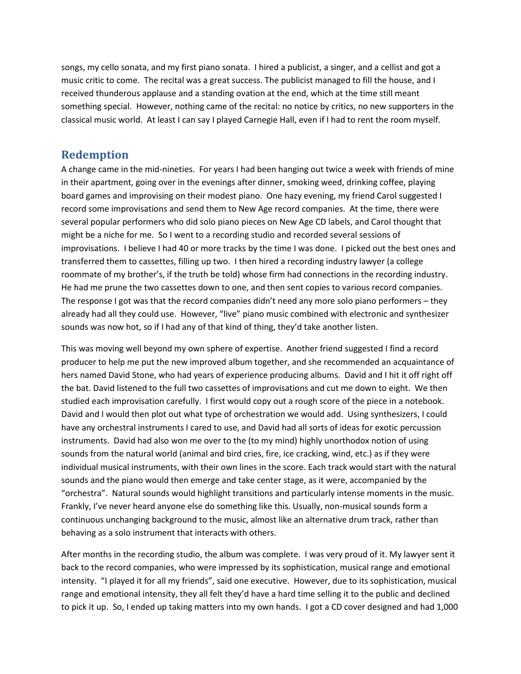songs, my cello sonata, and my first piano sonata. I hired a publicist, a singer, and a cellist and got a music critic to come. The recital was a great success. The publicist managed to fill the house, and I received thunderous applause and a standing ovation at the end, which at the time still meant something special. However, nothing came of the recital: no notice by critics, no new supporters in the classical music world. At least I can say I played Carnegie Hall, even if I had to rent the room myself.

### **Redemption**

A change came in the mid-nineties. For years I had been hanging out twice a week with friends of mine in their apartment, going over in the evenings after dinner, smoking weed, drinking coffee, playing board games and improvising on their modest piano. One hazy evening, my friend Carol suggested I record some improvisations and send them to New Age record companies. At the time, there were several popular performers who did solo piano pieces on New Age CD labels, and Carol thought that might be a niche for me. So I went to a recording studio and recorded several sessions of improvisations. I believe I had 40 or more tracks by the time I was done. I picked out the best ones and transferred them to cassettes, filling up two. I then hired a recording industry lawyer (a college roommate of my brother's, if the truth be told) whose firm had connections in the recording industry. He had me prune the two cassettes down to one, and then sent copies to various record companies. The response I got was that the record companies didn't need any more solo piano performers – they already had all they could use. However, "live" piano music combined with electronic and synthesizer sounds was now hot, so if I had any of that kind of thing, they'd take another listen.

This was moving well beyond my own sphere of expertise. Another friend suggested I find a record producer to help me put the new improved album together, and she recommended an acquaintance of hers named David Stone, who had years of experience producing albums. David and I hit it off right off the bat. David listened to the full two cassettes of improvisations and cut me down to eight. We then studied each improvisation carefully. I first would copy out a rough score of the piece in a notebook. David and I would then plot out what type of orchestration we would add. Using synthesizers, I could have any orchestral instruments I cared to use, and David had all sorts of ideas for exotic percussion instruments. David had also won me over to the (to my mind) highly unorthodox notion of using sounds from the natural world (animal and bird cries, fire, ice cracking, wind, etc.) as if they were individual musical instruments, with their own lines in the score. Each track would start with the natural sounds and the piano would then emerge and take center stage, as it were, accompanied by the "orchestra". Natural sounds would highlight transitions and particularly intense moments in the music. Frankly, I've never heard anyone else do something like this. Usually, non-musical sounds form a continuous unchanging background to the music, almost like an alternative drum track, rather than behaving as a solo instrument that interacts with others.

After months in the recording studio, the album was complete. I was very proud of it. My lawyer sent it back to the record companies, who were impressed by its sophistication, musical range and emotional intensity. "I played it for all my friends", said one executive. However, due to its sophistication, musical range and emotional intensity, they all felt they'd have a hard time selling it to the public and declined to pick it up. So, I ended up taking matters into my own hands. I got a CD cover designed and had 1,000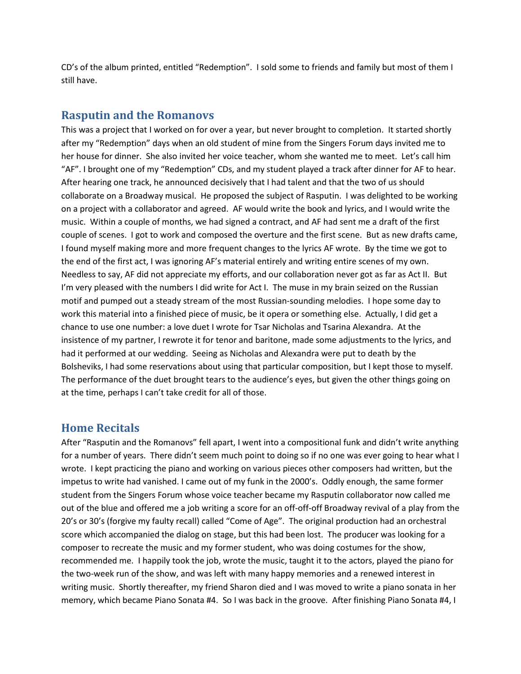CD's of the album printed, entitled "Redemption". I sold some to friends and family but most of them I still have.

#### **Rasputin and the Romanovs**

This was a project that I worked on for over a year, but never brought to completion. It started shortly after my "Redemption" days when an old student of mine from the Singers Forum days invited me to her house for dinner. She also invited her voice teacher, whom she wanted me to meet. Let's call him "AF". I brought one of my "Redemption" CDs, and my student played a track after dinner for AF to hear. After hearing one track, he announced decisively that I had talent and that the two of us should collaborate on a Broadway musical. He proposed the subject of Rasputin. I was delighted to be working on a project with a collaborator and agreed. AF would write the book and lyrics, and I would write the music. Within a couple of months, we had signed a contract, and AF had sent me a draft of the first couple of scenes. I got to work and composed the overture and the first scene. But as new drafts came, I found myself making more and more frequent changes to the lyrics AF wrote. By the time we got to the end of the first act, I was ignoring AF's material entirely and writing entire scenes of my own. Needless to say, AF did not appreciate my efforts, and our collaboration never got as far as Act II. But I'm very pleased with the numbers I did write for Act I. The muse in my brain seized on the Russian motif and pumped out a steady stream of the most Russian-sounding melodies. I hope some day to work this material into a finished piece of music, be it opera or something else. Actually, I did get a chance to use one number: a love duet I wrote for Tsar Nicholas and Tsarina Alexandra. At the insistence of my partner, I rewrote it for tenor and baritone, made some adjustments to the lyrics, and had it performed at our wedding. Seeing as Nicholas and Alexandra were put to death by the Bolsheviks, I had some reservations about using that particular composition, but I kept those to myself. The performance of the duet brought tears to the audience's eyes, but given the other things going on at the time, perhaps I can't take credit for all of those.

#### **Home Recitals**

After "Rasputin and the Romanovs" fell apart, I went into a compositional funk and didn't write anything for a number of years. There didn't seem much point to doing so if no one was ever going to hear what I wrote. I kept practicing the piano and working on various pieces other composers had written, but the impetus to write had vanished. I came out of my funk in the 2000's. Oddly enough, the same former student from the Singers Forum whose voice teacher became my Rasputin collaborator now called me out of the blue and offered me a job writing a score for an off-off-off Broadway revival of a play from the 20's or 30's (forgive my faulty recall) called "Come of Age". The original production had an orchestral score which accompanied the dialog on stage, but this had been lost. The producer was looking for a composer to recreate the music and my former student, who was doing costumes for the show, recommended me. I happily took the job, wrote the music, taught it to the actors, played the piano for the two-week run of the show, and was left with many happy memories and a renewed interest in writing music. Shortly thereafter, my friend Sharon died and I was moved to write a piano sonata in her memory, which became Piano Sonata #4. So I was back in the groove. After finishing Piano Sonata #4, I